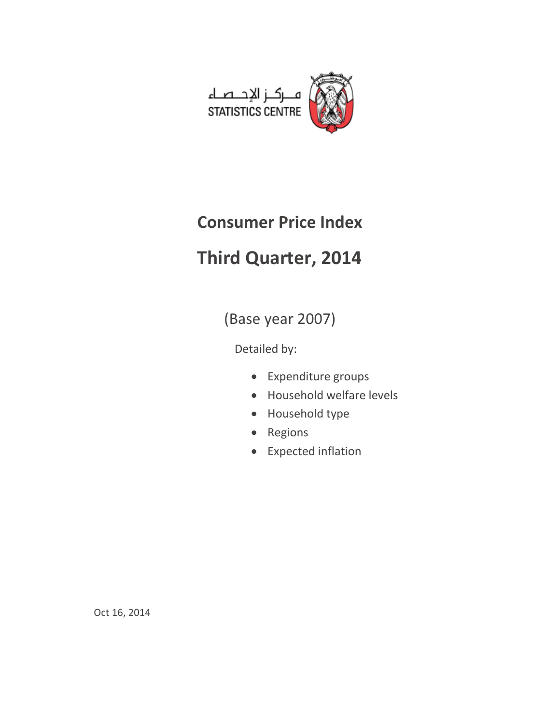

# **Consumer Price Index**

# **Third Quarter, 2014**

(Base year 2007)

Detailed by:

- Expenditure groups
- Household welfare levels
- Household type
- Regions
- Expected inflation

Oct 16, 2014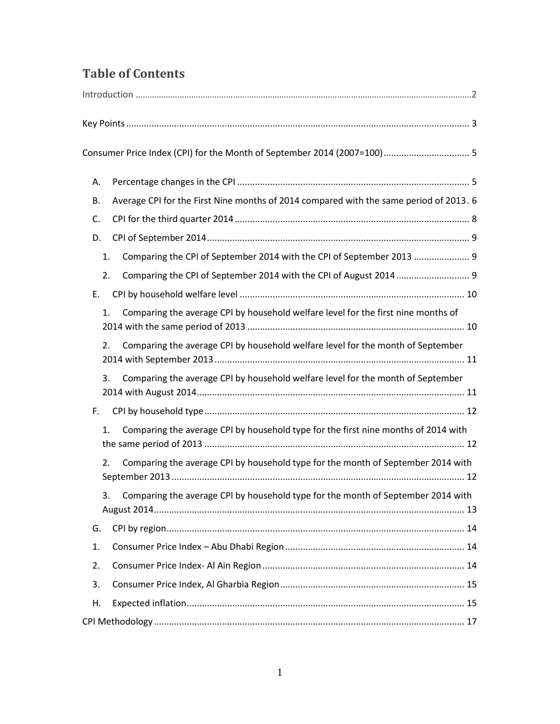# **Table of Contents**

| А.                                                                                           |  |
|----------------------------------------------------------------------------------------------|--|
| Average CPI for the First Nine months of 2014 compared with the same period of 2013. 6<br>В. |  |
| C.                                                                                           |  |
| D.                                                                                           |  |
| Comparing the CPI of September 2014 with the CPI of September 2013  9<br>1.                  |  |
| 2.                                                                                           |  |
| Ε.                                                                                           |  |
| Comparing the average CPI by household welfare level for the first nine months of<br>1.      |  |
| Comparing the average CPI by household welfare level for the month of September<br>2.        |  |
| Comparing the average CPI by household welfare level for the month of September<br>3.        |  |
| F.                                                                                           |  |
| Comparing the average CPI by household type for the first nine months of 2014 with<br>1.     |  |
| Comparing the average CPI by household type for the month of September 2014 with<br>2.       |  |
| Comparing the average CPI by household type for the month of September 2014 with<br>3.       |  |
| G.                                                                                           |  |
| 1.                                                                                           |  |
| 2.                                                                                           |  |
| 3.                                                                                           |  |
| Η.                                                                                           |  |
|                                                                                              |  |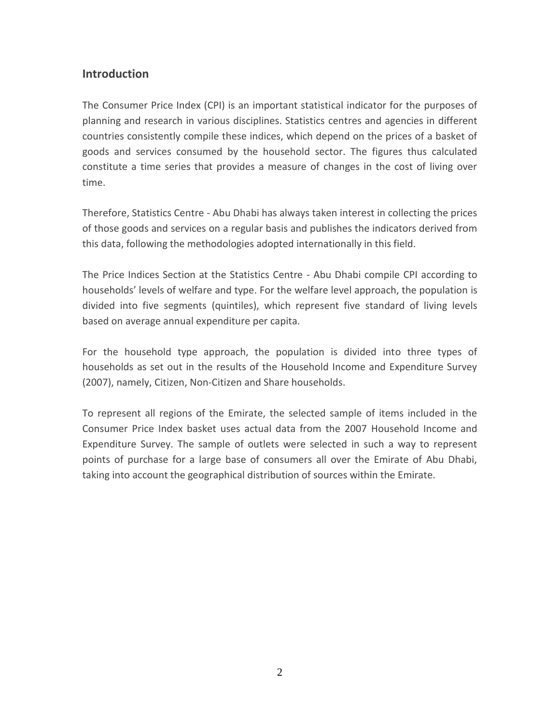# **Introduction**

The Consumer Price Index (CPI) is an important statistical indicator for the purposes of planning and research in various disciplines. Statistics centres and agencies in different countries consistently compile these indices, which depend on the prices of a basket of goods and services consumed by the household sector. The figures thus calculated constitute a time series that provides a measure of changes in the cost of living over time.

Therefore, Statistics Centre - Abu Dhabi has always taken interest in collecting the prices of those goods and services on a regular basis and publishes the indicators derived from this data, following the methodologies adopted internationally in this field.

The Price Indices Section at the Statistics Centre - Abu Dhabi compile CPI according to households' levels of welfare and type. For the welfare level approach, the population is divided into five segments (quintiles), which represent five standard of living levels based on average annual expenditure per capita.

For the household type approach, the population is divided into three types of households as set out in the results of the Household Income and Expenditure Survey (2007), namely, Citizen, Non-Citizen and Share households.

To represent all regions of the Emirate, the selected sample of items included in the Consumer Price Index basket uses actual data from the 2007 Household Income and Expenditure Survey. The sample of outlets were selected in such a way to represent points of purchase for a large base of consumers all over the Emirate of Abu Dhabi, taking into account the geographical distribution of sources within the Emirate.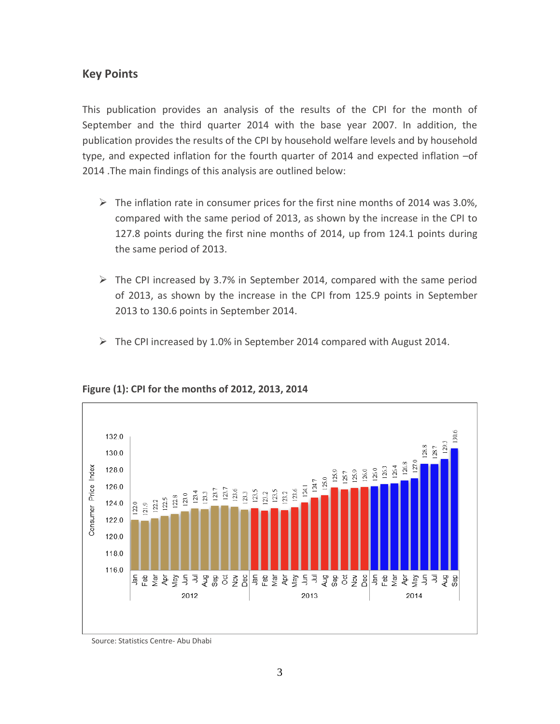# <span id="page-3-0"></span>**Key Points**

This publication provides an analysis of the results of the CPI for the month of September and the third quarter 2014 with the base year 2007. In addition, the publication provides the results of the CPI by household welfare levels and by household type, and expected inflation for the fourth quarter of 2014 and expected inflation –of 2014 .The main findings of this analysis are outlined below:

- $\triangleright$  The inflation rate in consumer prices for the first nine months of 2014 was 3.0%, compared with the same period of 2013, as shown by the increase in the CPI to 127.8 points during the first nine months of 2014, up from 124.1 points during the same period of 2013.
- $\triangleright$  The CPI increased by 3.7% in September 2014, compared with the same period of 2013, as shown by the increase in the CPI from 125.9 points in September 2013 to 130.6 points in September 2014.
- The CPI increased by 1.0% in September 2014 compared with August 2014.



## **Figure (1): CPI for the months of 2012, 2013, 2014**

Source: Statistics Centre- Abu Dhabi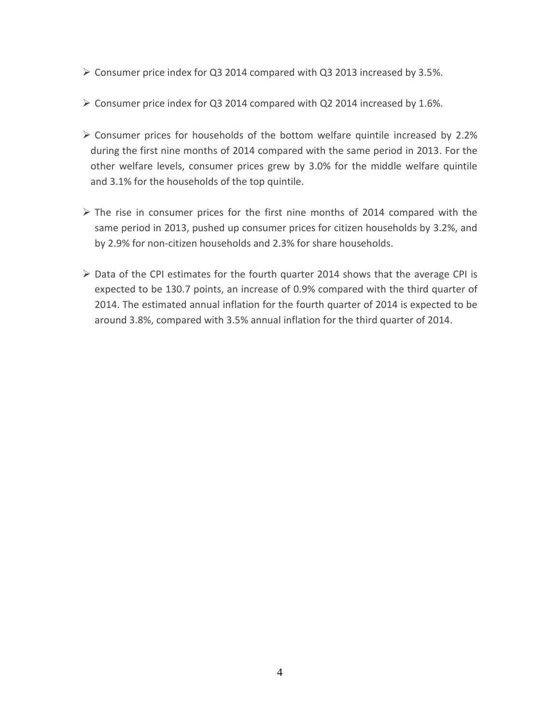- $\triangleright$  Consumer price index for Q3 2014 compared with Q3 2013 increased by 3.5%.
- $\triangleright$  Consumer price index for Q3 2014 compared with Q2 2014 increased by 1.6%.
- Consumer prices for households of the bottom welfare quintile increased by 2.2% during the first nine months of 2014 compared with the same period in 2013. For the other welfare levels, consumer prices grew by 3.0% for the middle welfare quintile and 3.1% for the households of the top quintile.
- $\triangleright$  The rise in consumer prices for the first nine months of 2014 compared with the same period in 2013, pushed up consumer prices for citizen households by 3.2%, and by 2.9% for non-citizen households and 2.3% for share households.
- $\triangleright$  Data of the CPI estimates for the fourth quarter 2014 shows that the average CPI is expected to be 130.7 points, an increase of 0.9% compared with the third quarter of 2014. The estimated annual inflation for the fourth quarter of 2014 is expected to be around 3.8%, compared with 3.5% annual inflation for the third quarter of 2014.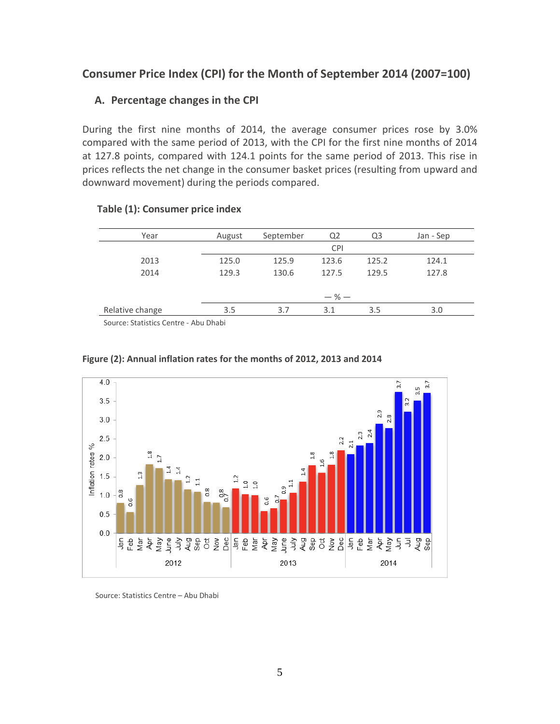# <span id="page-5-1"></span><span id="page-5-0"></span>**Consumer Price Index (CPI) for the Month of September 2014 (2007=100)**

# **A. Percentage changes in the CPI**

During the first nine months of 2014, the average consumer prices rose by 3.0% compared with the same period of 2013, with the CPI for the first nine months of 2014 at 127.8 points, compared with 124.1 points for the same period of 2013. This rise in prices reflects the net change in the consumer basket prices (resulting from upward and downward movement) during the periods compared.

| Year            | August    | September | Q <sub>2</sub> | Q3    | Jan - Sep |  |  |  |
|-----------------|-----------|-----------|----------------|-------|-----------|--|--|--|
|                 |           |           | <b>CPI</b>     |       |           |  |  |  |
| 2013            | 125.0     | 125.9     | 123.6          | 125.2 | 124.1     |  |  |  |
| 2014            | 129.3     | 130.6     | 127.5          | 129.5 | 127.8     |  |  |  |
|                 |           |           |                |       |           |  |  |  |
|                 | $-$ % $-$ |           |                |       |           |  |  |  |
| Relative change | 3.5       | 3.7       | 3.1            | 3.5   | 3.0       |  |  |  |
|                 |           |           |                |       |           |  |  |  |

# **Table (1): Consumer price index**

Source: Statistics Centre - Abu Dhabi



## **Figure (2): Annual inflation rates for the months of 2012, 2013 and 2014**

Source: Statistics Centre – Abu Dhabi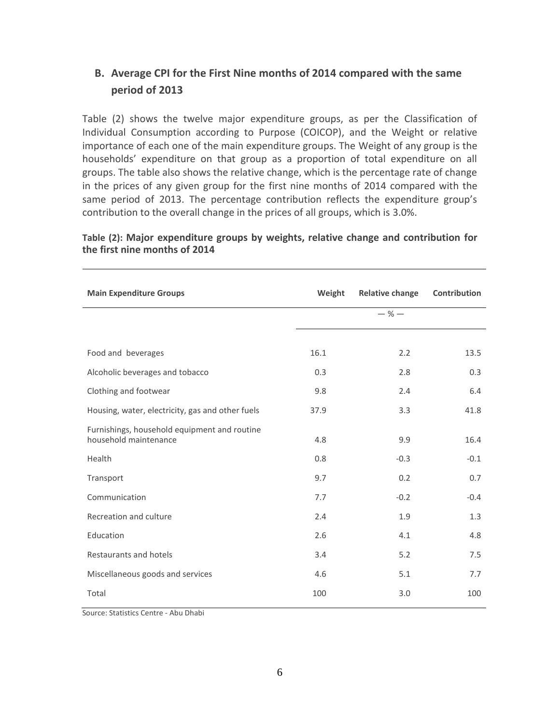# <span id="page-6-0"></span>**B. Average CPI for the First Nine months of 2014 compared with the same period of 2013**

Table (2) shows the twelve major expenditure groups, as per the Classification of Individual Consumption according to Purpose (COICOP), and the Weight or relative importance of each one of the main expenditure groups. The Weight of any group is the households' expenditure on that group as a proportion of total expenditure on all groups. The table also shows the relative change, which is the percentage rate of change in the prices of any given group for the first nine months of 2014 compared with the same period of 2013. The percentage contribution reflects the expenditure group's contribution to the overall change in the prices of all groups, which is 3.0%.

| <b>Main Expenditure Groups</b>                                        | Weight | <b>Relative change</b> | Contribution |
|-----------------------------------------------------------------------|--------|------------------------|--------------|
|                                                                       |        | $-$ % $-$              |              |
|                                                                       |        |                        |              |
| Food and beverages                                                    | 16.1   | 2.2                    | 13.5         |
| Alcoholic beverages and tobacco                                       | 0.3    | 2.8                    | 0.3          |
| Clothing and footwear                                                 | 9.8    | 2.4                    | 6.4          |
| Housing, water, electricity, gas and other fuels                      | 37.9   | 3.3                    | 41.8         |
| Furnishings, household equipment and routine<br>household maintenance | 4.8    | 9.9                    | 16.4         |
| Health                                                                | 0.8    | $-0.3$                 | $-0.1$       |
| Transport                                                             | 9.7    | 0.2                    | 0.7          |
| Communication                                                         | 7.7    | $-0.2$                 | $-0.4$       |
| Recreation and culture                                                | 2.4    | 1.9                    | 1.3          |
| Education                                                             | 2.6    | 4.1                    | 4.8          |
| Restaurants and hotels                                                | 3.4    | 5.2                    | 7.5          |
| Miscellaneous goods and services                                      | 4.6    | 5.1                    | 7.7          |
| Total                                                                 | 100    | 3.0                    | 100          |

# **Table (2): Major expenditure groups by weights, relative change and contribution for the first nine months of 2014**

Source: Statistics Centre - Abu Dhabi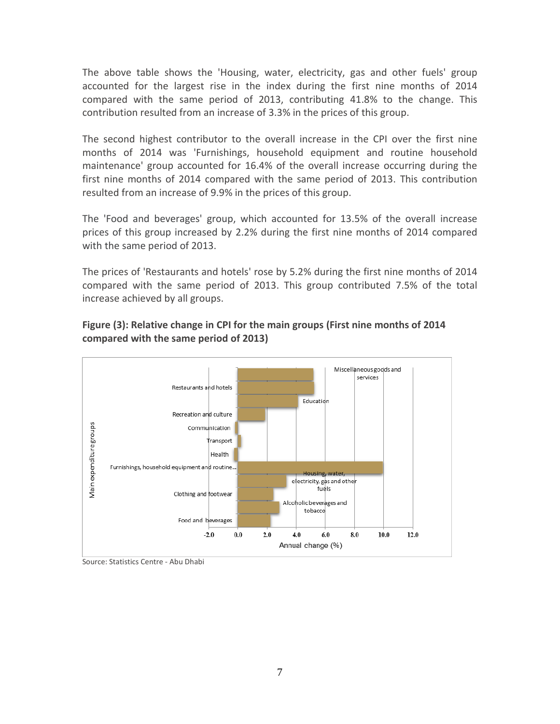The above table shows the 'Housing, water, electricity, gas and other fuels' group accounted for the largest rise in the index during the first nine months of 2014 compared with the same period of 2013, contributing 41.8% to the change. This contribution resulted from an increase of 3.3% in the prices of this group.

The second highest contributor to the overall increase in the CPI over the first nine months of 2014 was 'Furnishings, household equipment and routine household maintenance' group accounted for 16.4% of the overall increase occurring during the first nine months of 2014 compared with the same period of 2013. This contribution resulted from an increase of 9.9% in the prices of this group.

The 'Food and beverages' group, which accounted for 13.5% of the overall increase prices of this group increased by 2.2% during the first nine months of 2014 compared with the same period of 2013.

The prices of 'Restaurants and hotels' rose by 5.2% during the first nine months of 2014 compared with the same period of 2013. This group contributed 7.5% of the total increase achieved by all groups.



# **Figure (3): Relative change in CPI for the main groups (First nine months of 2014 compared with the same period of 2013)**

Source: Statistics Centre - Abu Dhabi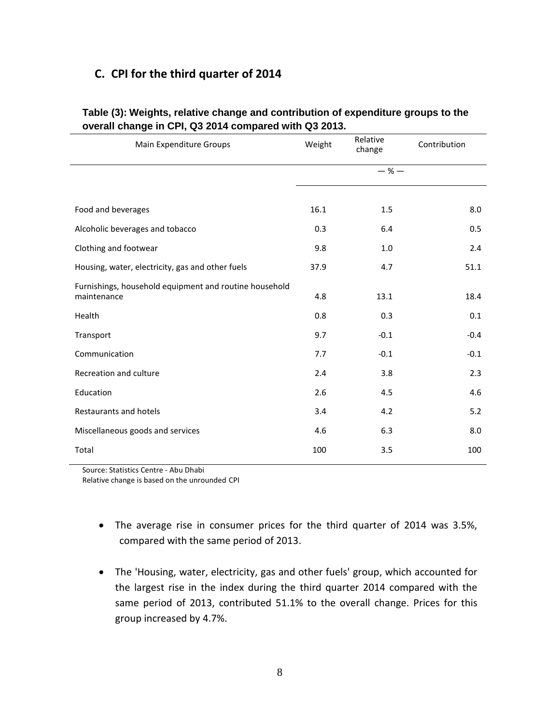# **C. CPI for the third quarter of 2014**

| Main Expenditure Groups                                               | Weight | Relative<br>change | Contribution |
|-----------------------------------------------------------------------|--------|--------------------|--------------|
|                                                                       |        | $-$ % $-$          |              |
|                                                                       |        |                    |              |
| Food and beverages                                                    | 16.1   | 1.5                | 8.0          |
| Alcoholic beverages and tobacco                                       | 0.3    | 6.4                | 0.5          |
| Clothing and footwear                                                 | 9.8    | 1.0                | 2.4          |
| Housing, water, electricity, gas and other fuels                      | 37.9   | 4.7                | 51.1         |
| Furnishings, household equipment and routine household<br>maintenance | 4.8    | 13.1               | 18.4         |
| Health                                                                | 0.8    | 0.3                | 0.1          |
| Transport                                                             | 9.7    | $-0.1$             | $-0.4$       |
| Communication                                                         | 7.7    | $-0.1$             | $-0.1$       |
| Recreation and culture                                                | 2.4    | 3.8                | 2.3          |
| Education                                                             | 2.6    | 4.5                | 4.6          |
| Restaurants and hotels                                                | 3.4    | 4.2                | 5.2          |
| Miscellaneous goods and services                                      | 4.6    | 6.3                | 8.0          |
| Total                                                                 | 100    | 3.5                | 100          |

# **Table (3): Weights, relative change and contribution of expenditure groups to the overall change in CPI, Q3 2014 compared with Q3 2013.**

Source: Statistics Centre - Abu Dhabi

Relative change is based on the unrounded CPI

- The average rise in consumer prices for the third quarter of 2014 was 3.5%, compared with the same period of 2013.
- The 'Housing, water, electricity, gas and other fuels' group, which accounted for the largest rise in the index during the third quarter 2014 compared with the same period of 2013, contributed 51.1% to the overall change. Prices for this group increased by 4.7%.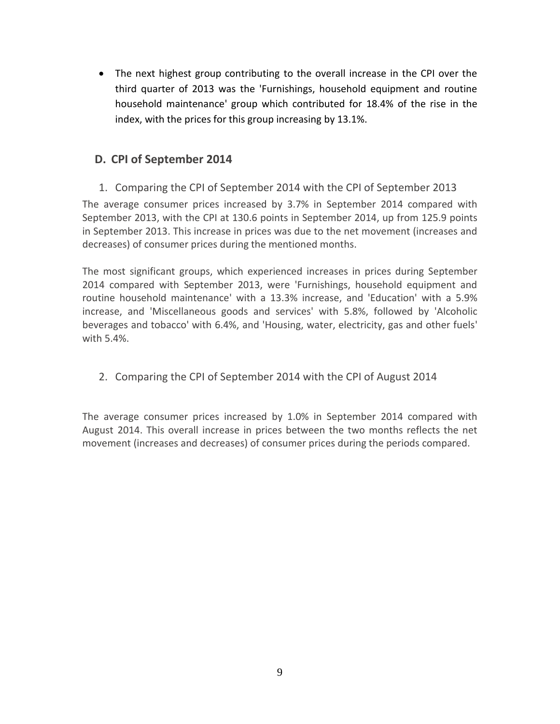The next highest group contributing to the overall increase in the CPI over the third quarter of 2013 was the 'Furnishings, household equipment and routine household maintenance' group which contributed for 18.4% of the rise in the index, with the prices for this group increasing by 13.1%.

# <span id="page-9-0"></span>**D. CPI of September 2014**

<span id="page-9-1"></span>1. Comparing the CPI of September 2014 with the CPI of September 2013

The average consumer prices increased by 3.7% in September 2014 compared with September 2013, with the CPI at 130.6 points in September 2014, up from 125.9 points in September 2013. This increase in prices was due to the net movement (increases and decreases) of consumer prices during the mentioned months.

The most significant groups, which experienced increases in prices during September 2014 compared with September 2013, were 'Furnishings, household equipment and routine household maintenance' with a 13.3% increase, and 'Education' with a 5.9% increase, and 'Miscellaneous goods and services' with 5.8%, followed by 'Alcoholic beverages and tobacco' with 6.4%, and 'Housing, water, electricity, gas and other fuels' with 5.4%.

<span id="page-9-2"></span>2. Comparing the CPI of September 2014 with the CPI of August 2014

The average consumer prices increased by 1.0% in September 2014 compared with August 2014. This overall increase in prices between the two months reflects the net movement (increases and decreases) of consumer prices during the periods compared.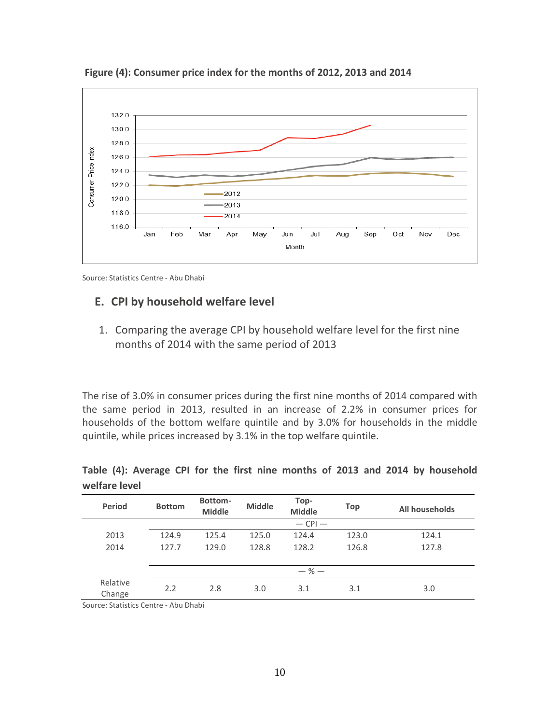

**Figure (4): Consumer price index for the months of 2012, 2013 and 2014**

Source: Statistics Centre - Abu Dhabi

# <span id="page-10-1"></span><span id="page-10-0"></span>**E. CPI by household welfare level**

1. Comparing the average CPI by household welfare level for the first nine months of 2014 with the same period of 2013

The rise of 3.0% in consumer prices during the first nine months of 2014 compared with the same period in 2013, resulted in an increase of 2.2% in consumer prices for households of the bottom welfare quintile and by 3.0% for households in the middle quintile, while prices increased by 3.1% in the top welfare quintile.

| <b>Period</b>      | <b>Bottom</b> | Bottom-<br><b>Middle</b> | <b>Middle</b> | Top-<br><b>Middle</b> | Top   | All households |
|--------------------|---------------|--------------------------|---------------|-----------------------|-------|----------------|
|                    |               |                          |               | $-$ CPI $-$           |       |                |
| 2013               | 124.9         | 125.4                    | 125.0         | 124.4                 | 123.0 | 124.1          |
| 2014               | 127.7         | 129.0                    | 128.8         | 128.2                 | 126.8 | 127.8          |
|                    |               |                          |               |                       |       |                |
|                    |               |                          |               | $-$ % $-$             |       |                |
| Relative<br>Change | 2.2           | 2.8                      | 3.0           | 3.1                   | 3.1   | 3.0            |

**Table (4): Average CPI for the first nine months of 2013 and 2014 by household welfare level**

Source: Statistics Centre - Abu Dhabi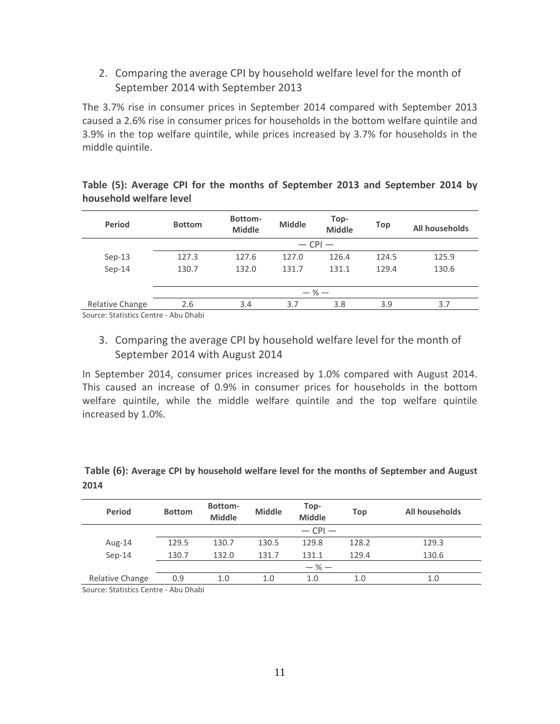<span id="page-11-0"></span>2. Comparing the average CPI by household welfare level for the month of September 2014 with September 2013

The 3.7% rise in consumer prices in September 2014 compared with September 2013 caused a 2.6% rise in consumer prices for households in the bottom welfare quintile and 3.9% in the top welfare quintile, while prices increased by 3.7% for households in the middle quintile.

| <b>Period</b>   | <b>Bottom</b> | Bottom-<br><b>Middle</b> | <b>Middle</b> | Top-<br><b>Middle</b> | Top   | All households |  |  |
|-----------------|---------------|--------------------------|---------------|-----------------------|-------|----------------|--|--|
|                 |               |                          | $-$ CPI $-$   |                       |       |                |  |  |
| $Sep-13$        | 127.3         | 127.6                    | 127.0         | 126.4                 | 124.5 | 125.9          |  |  |
| $Sep-14$        | 130.7         | 132.0                    | 131.7         | 131.1                 | 129.4 | 130.6          |  |  |
|                 |               |                          |               |                       |       |                |  |  |
|                 | $-$ % $-$     |                          |               |                       |       |                |  |  |
| Relative Change | 2.6           | 3.4                      | 3.7           | 3.8                   | 3.9   | 3.7            |  |  |

|                         |  |  |  |  | Table (5): Average CPI for the months of September 2013 and September 2014 by |  |
|-------------------------|--|--|--|--|-------------------------------------------------------------------------------|--|
| household welfare level |  |  |  |  |                                                                               |  |

Source: Statistics Centre - Abu Dhabi

<span id="page-11-1"></span>3. Comparing the average CPI by household welfare level for the month of September 2014 with August 2014

In September 2014, consumer prices increased by 1.0% compared with August 2014. This caused an increase of 0.9% in consumer prices for households in the bottom welfare quintile, while the middle welfare quintile and the top welfare quintile increased by 1.0%.

| <b>Period</b>   | <b>Bottom</b> | Bottom-<br><b>Middle</b> | <b>Middle</b> | Top-<br><b>Middle</b> | Top   | All households |  |  |  |
|-----------------|---------------|--------------------------|---------------|-----------------------|-------|----------------|--|--|--|
|                 | $-$ CPI $-$   |                          |               |                       |       |                |  |  |  |
| Aug-14          | 129.5         | 130.7                    | 130.5         | 129.8                 | 128.2 | 129.3          |  |  |  |
| $Sep-14$        | 130.7         | 132.0                    | 131.7         | 131.1                 | 129.4 | 130.6          |  |  |  |
|                 | $-$ % $-$     |                          |               |                       |       |                |  |  |  |
| Relative Change | 0.9           | 1.0                      | 1.0           | 1.0                   | 1.0   | 1.0            |  |  |  |

## **Table (6): Average CPI by household welfare level for the months of September and August 2014**

Source: Statistics Centre - Abu Dhabi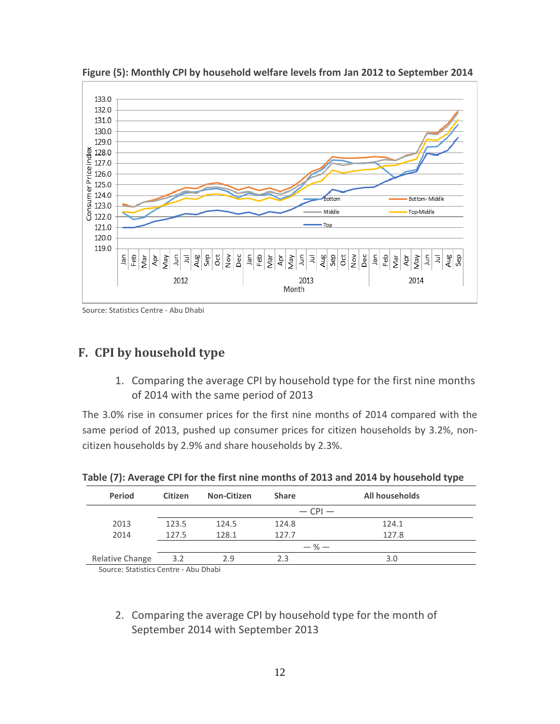

**Figure (5): Monthly CPI by household welfare levels from Jan 2012 to September 2014**

Source: Statistics Centre - Abu Dhabi

# <span id="page-12-1"></span><span id="page-12-0"></span>**F. CPI by household type**

1. Comparing the average CPI by household type for the first nine months of 2014 with the same period of 2013

The 3.0% rise in consumer prices for the first nine months of 2014 compared with the same period of 2013, pushed up consumer prices for citizen households by 3.2%, noncitizen households by 2.9% and share households by 2.3%.

| <b>Period</b>                       | <b>Citizen</b> | <b>Non-Citizen</b> | <b>Share</b> | All households |
|-------------------------------------|----------------|--------------------|--------------|----------------|
|                                     |                |                    |              | $-$ CPI $-$    |
| 2013                                | 123.5          | 124.5              | 124.8        | 124.1          |
| 2014                                | 127.5          | 128.1              | 127.7        | 127.8          |
|                                     |                |                    |              | $-$ % $-$      |
| Relative Change                     | 3.2            | 2.9                | 2.3          | 3.0            |
| Course: Statistics Contro Abu Dhabi |                |                    |              |                |

**Table (7): Average CPI for the first nine months of 2013 and 2014 by household type**

Source: Statistics Centre - Abu Dhabi

<span id="page-12-2"></span>2. Comparing the average CPI by household type for the month of September 2014 with September 2013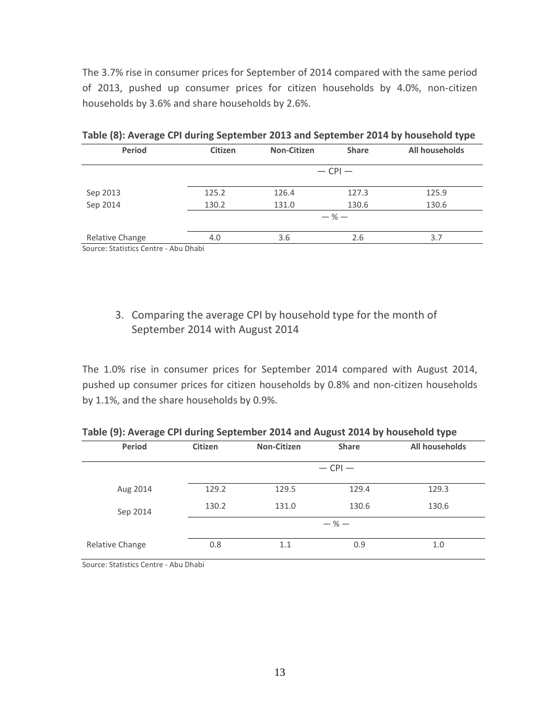The 3.7% rise in consumer prices for September of 2014 compared with the same period of 2013, pushed up consumer prices for citizen households by 4.0%, non-citizen households by 3.6% and share households by 2.6%.

| <b>Period</b>   | <b>Citizen</b> | <b>Non-Citizen</b> | <b>Share</b> | All households |  |  |  |  |
|-----------------|----------------|--------------------|--------------|----------------|--|--|--|--|
|                 |                |                    | $-$ CPI $-$  |                |  |  |  |  |
| Sep 2013        | 125.2          | 126.4              | 127.3        | 125.9          |  |  |  |  |
| Sep 2014        | 130.2          | 131.0              | 130.6        | 130.6          |  |  |  |  |
|                 | $-$ % $-$      |                    |              |                |  |  |  |  |
| Relative Change | 4.0            | 3.6                | 2.6          | 3.7            |  |  |  |  |

**Table (8): Average CPI during September 2013 and September 2014 by household type**

Source: Statistics Centre - Abu Dhabi

# <span id="page-13-0"></span>3. Comparing the average CPI by household type for the month of September 2014 with August 2014

The 1.0% rise in consumer prices for September 2014 compared with August 2014, pushed up consumer prices for citizen households by 0.8% and non-citizen households by 1.1%, and the share households by 0.9%.

| Period          | <b>Citizen</b> | <b>Non-Citizen</b> | <b>Share</b> | All households |
|-----------------|----------------|--------------------|--------------|----------------|
|                 |                |                    | $-$ CPI $-$  |                |
| Aug 2014        | 129.2          | 129.5              | 129.4        | 129.3          |
| Sep 2014        | 130.2          | 131.0              | 130.6        | 130.6          |
|                 |                |                    | $-$ % $-$    |                |
| Relative Change | 0.8            | 1.1                | 0.9          | 1.0            |

**Table (9): Average CPI during September 2014 and August 2014 by household type**

Source: Statistics Centre - Abu Dhabi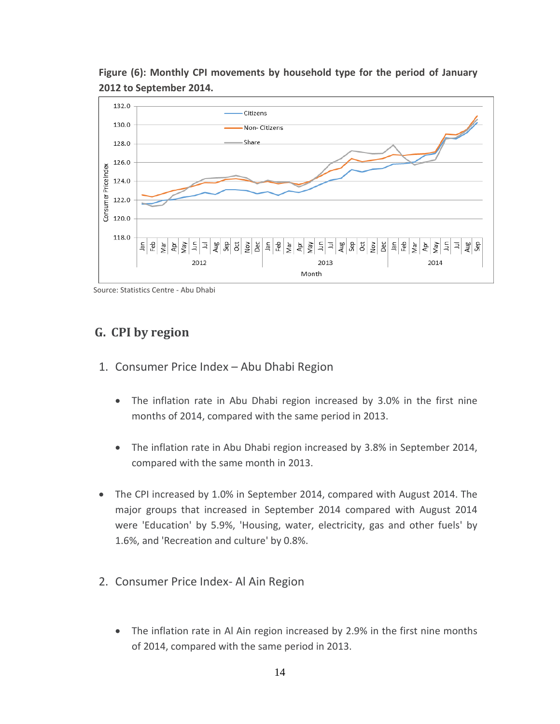

**Figure (6): Monthly CPI movements by household type for the period of January 2012 to September 2014.**

Source: Statistics Centre - Abu Dhabi

# <span id="page-14-0"></span>**G. CPI by region**

- <span id="page-14-1"></span>1. Consumer Price Index – Abu Dhabi Region
	- The inflation rate in Abu Dhabi region increased by 3.0% in the first nine months of 2014, compared with the same period in 2013.
	- The inflation rate in Abu Dhabi region increased by 3.8% in September 2014, compared with the same month in 2013.
- The CPI increased by 1.0% in September 2014, compared with August 2014. The major groups that increased in September 2014 compared with August 2014 were 'Education' by 5.9%, 'Housing, water, electricity, gas and other fuels' by 1.6%, and 'Recreation and culture' by 0.8%.
- <span id="page-14-2"></span>2. Consumer Price Index- Al Ain Region
	- The inflation rate in Al Ain region increased by 2.9% in the first nine months of 2014, compared with the same period in 2013.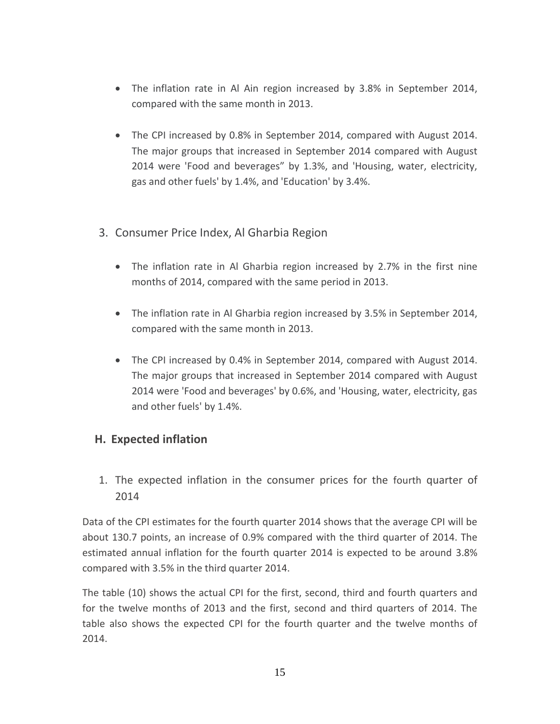- The inflation rate in Al Ain region increased by 3.8% in September 2014, compared with the same month in 2013.
- The CPI increased by 0.8% in September 2014, compared with August 2014. The major groups that increased in September 2014 compared with August 2014 were 'Food and beverages" by 1.3%, and 'Housing, water, electricity, gas and other fuels' by 1.4%, and 'Education' by 3.4%.
- <span id="page-15-0"></span>3. Consumer Price Index, Al Gharbia Region
	- The inflation rate in Al Gharbia region increased by 2.7% in the first nine months of 2014, compared with the same period in 2013.
	- The inflation rate in Al Gharbia region increased by 3.5% in September 2014, compared with the same month in 2013.
	- The CPI increased by 0.4% in September 2014, compared with August 2014. The major groups that increased in September 2014 compared with August 2014 were 'Food and beverages' by 0.6%, and 'Housing, water, electricity, gas and other fuels' by 1.4%.

# <span id="page-15-1"></span>**H. Expected inflation**

1. The expected inflation in the consumer prices for the fourth quarter of 2014

Data of the CPI estimates for the fourth quarter 2014 shows that the average CPI will be about 130.7 points, an increase of 0.9% compared with the third quarter of 2014. The estimated annual inflation for the fourth quarter 2014 is expected to be around 3.8% compared with 3.5% in the third quarter 2014.

The table (10) shows the actual CPI for the first, second, third and fourth quarters and for the twelve months of 2013 and the first, second and third quarters of 2014. The table also shows the expected CPI for the fourth quarter and the twelve months of 2014.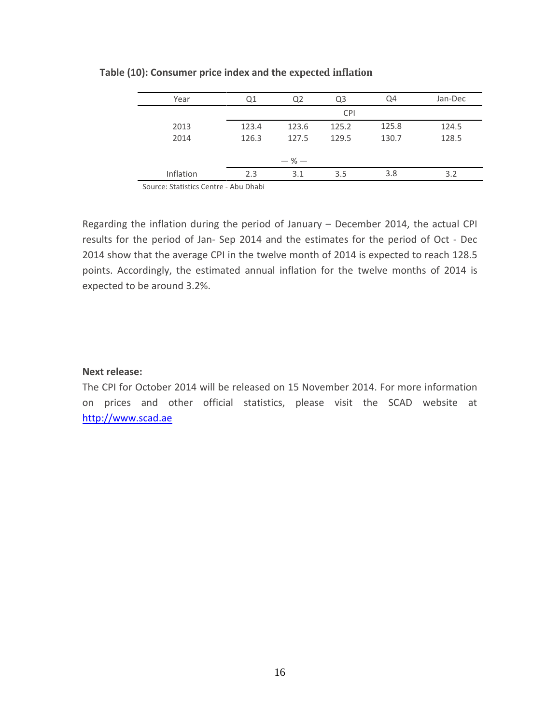| Year      | Ο1        | Q <sub>2</sub> | Q <sub>3</sub> | Q4    | Jan-Dec |  |  |  |  |  |
|-----------|-----------|----------------|----------------|-------|---------|--|--|--|--|--|
|           |           | <b>CPI</b>     |                |       |         |  |  |  |  |  |
| 2013      | 123.4     | 123.6          | 125.2          | 125.8 | 124.5   |  |  |  |  |  |
| 2014      | 126.3     | 127.5          | 129.5          | 130.7 | 128.5   |  |  |  |  |  |
|           |           |                |                |       |         |  |  |  |  |  |
|           | $-$ % $-$ |                |                |       |         |  |  |  |  |  |
| Inflation | 2.3       | 3.1            | 3.5            | 3.8   | 3.2     |  |  |  |  |  |

#### **Table (10): Consumer price index and the expected inflation**

Source: Statistics Centre - Abu Dhabi

Regarding the inflation during the period of January – December 2014, the actual CPI results for the period of Jan- Sep 2014 and the estimates for the period of Oct - Dec 2014 show that the average CPI in the twelve month of 2014 is expected to reach 128.5 points. Accordingly, the estimated annual inflation for the twelve months of 2014 is expected to be around 3.2%.

#### **Next release:**

<span id="page-16-0"></span>The CPI for October 2014 will be released on 15 November 2014. For more information on prices and other official statistics, please visit the SCAD website at [http://www.scad.ae](http://www.scad.ae/)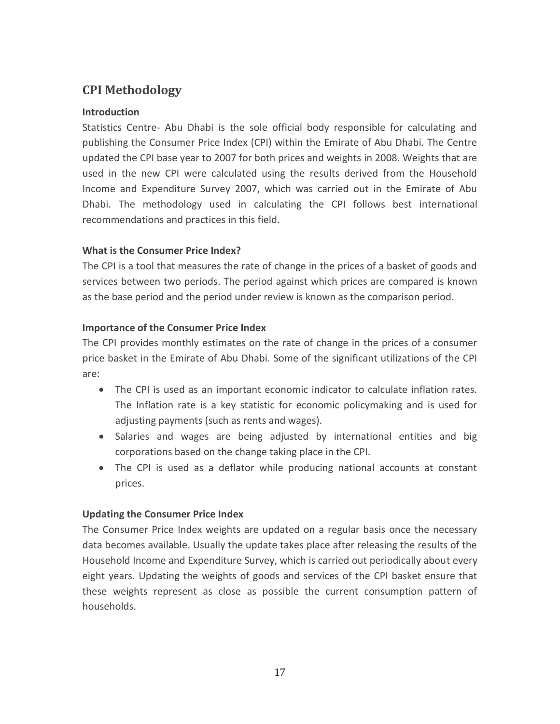# **CPI Methodology**

# **Introduction**

Statistics Centre- Abu Dhabi is the sole official body responsible for calculating and publishing the Consumer Price Index (CPI) within the Emirate of Abu Dhabi. The Centre updated the CPI base year to 2007 for both prices and weights in 2008. Weights that are used in the new CPI were calculated using the results derived from the Household Income and Expenditure Survey 2007, which was carried out in the Emirate of Abu Dhabi. The methodology used in calculating the CPI follows best international recommendations and practices in this field.

# **What is the Consumer Price Index?**

The CPI is a tool that measures the rate of change in the prices of a basket of goods and services between two periods. The period against which prices are compared is known as the base period and the period under review is known as the comparison period.

# **Importance of the Consumer Price Index**

The CPI provides monthly estimates on the rate of change in the prices of a consumer price basket in the Emirate of Abu Dhabi. Some of the significant utilizations of the CPI are:

- The CPI is used as an important economic indicator to calculate inflation rates. The Inflation rate is a key statistic for economic policymaking and is used for adjusting payments (such as rents and wages).
- Salaries and wages are being adjusted by international entities and big corporations based on the change taking place in the CPI.
- The CPI is used as a deflator while producing national accounts at constant prices.

## **Updating the Consumer Price Index**

The Consumer Price Index weights are updated on a regular basis once the necessary data becomes available. Usually the update takes place after releasing the results of the Household Income and Expenditure Survey, which is carried out periodically about every eight years. Updating the weights of goods and services of the CPI basket ensure that these weights represent as close as possible the current consumption pattern of households.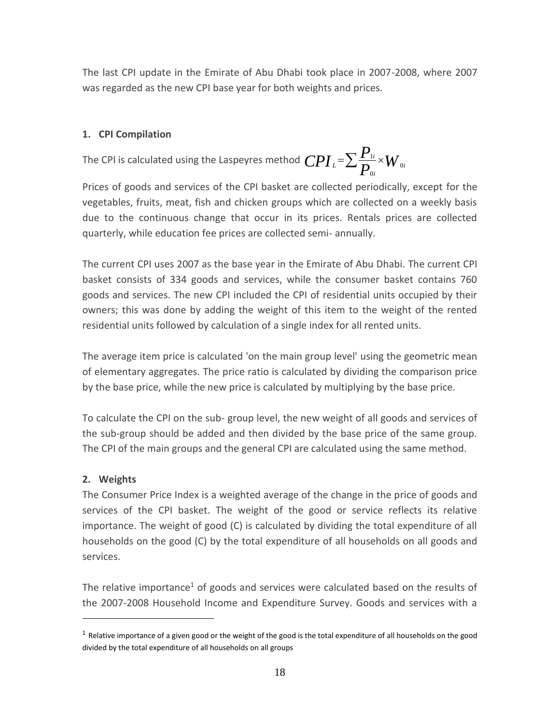The last CPI update in the Emirate of Abu Dhabi took place in 2007-2008, where 2007 was regarded as the new CPI base year for both weights and prices.

# **1. CPI Compilation**

The CPI is calculated using the Laspeyres method  $\mathit{CPI}_{\scriptscriptstyle{L}}$  =  $\sum$   $\frac{I_{\scriptscriptstyle{1}}}{P_{\scriptscriptstyle{0i}}}$   $\times$   $W$ *P*  $CPI_{\iota} = \sum_{n=1}^{\iota} \frac{1}{n} \times W_{\iota}$ *i i L* 0 0  $=\sum \frac{\boldsymbol{F}_{1i}}{\boldsymbol{D}}\times$ 

Prices of goods and services of the CPI basket are collected periodically, except for the vegetables, fruits, meat, fish and chicken groups which are collected on a weekly basis due to the continuous change that occur in its prices. Rentals prices are collected quarterly, while education fee prices are collected semi- annually.

The current CPI uses 2007 as the base year in the Emirate of Abu Dhabi. The current CPI basket consists of 334 goods and services, while the consumer basket contains 760 goods and services. The new CPI included the CPI of residential units occupied by their owners; this was done by adding the weight of this item to the weight of the rented residential units followed by calculation of a single index for all rented units.

The average item price is calculated 'on the main group level' using the geometric mean of elementary aggregates. The price ratio is calculated by dividing the comparison price by the base price, while the new price is calculated by multiplying by the base price.

To calculate the CPI on the sub- group level, the new weight of all goods and services of the sub-group should be added and then divided by the base price of the same group. The CPI of the main groups and the general CPI are calculated using the same method.

# **2. Weights**

 $\overline{a}$ 

The Consumer Price Index is a weighted average of the change in the price of goods and services of the CPI basket. The weight of the good or service reflects its relative importance. The weight of good (C) is calculated by dividing the total expenditure of all households on the good (C) by the total expenditure of all households on all goods and services.

The relative importance<sup>1</sup> of goods and services were calculated based on the results of the 2007-2008 Household Income and Expenditure Survey. Goods and services with a

 $^1$  Relative importance of a given good or the weight of the good is the total expenditure of all households on the good divided by the total expenditure of all households on all groups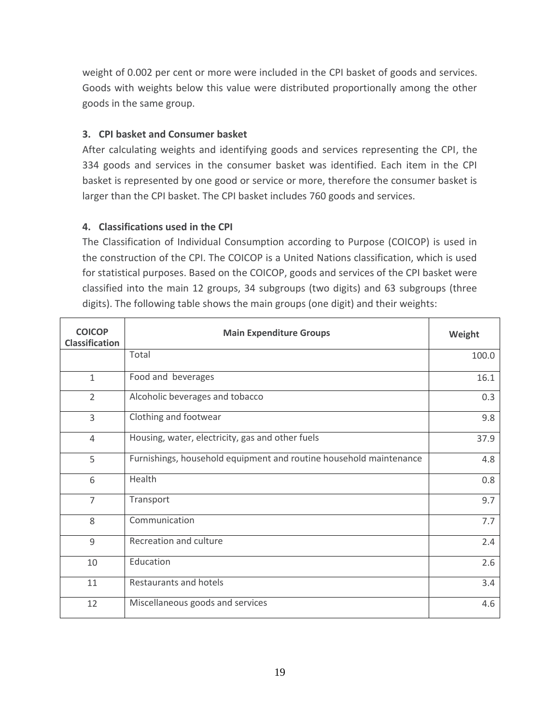weight of 0.002 per cent or more were included in the CPI basket of goods and services. Goods with weights below this value were distributed proportionally among the other goods in the same group.

# **3. CPI basket and Consumer basket**

After calculating weights and identifying goods and services representing the CPI, the 334 goods and services in the consumer basket was identified. Each item in the CPI basket is represented by one good or service or more, therefore the consumer basket is larger than the CPI basket. The CPI basket includes 760 goods and services.

# **4. Classifications used in the CPI**

The Classification of Individual Consumption according to Purpose (COICOP) is used in the construction of the CPI. The COICOP is a United Nations classification, which is used for statistical purposes. Based on the COICOP, goods and services of the CPI basket were classified into the main 12 groups, 34 subgroups (two digits) and 63 subgroups (three digits). The following table shows the main groups (one digit) and their weights:

| <b>COICOP</b><br><b>Classification</b> | <b>Main Expenditure Groups</b>                                     | Weight |
|----------------------------------------|--------------------------------------------------------------------|--------|
|                                        | Total                                                              | 100.0  |
| $\mathbf{1}$                           | Food and beverages                                                 | 16.1   |
| $\overline{2}$                         | Alcoholic beverages and tobacco                                    | 0.3    |
| 3                                      | Clothing and footwear                                              | 9.8    |
| 4                                      | Housing, water, electricity, gas and other fuels                   | 37.9   |
| 5                                      | Furnishings, household equipment and routine household maintenance | 4.8    |
| 6                                      | Health                                                             | 0.8    |
| $\overline{7}$                         | Transport                                                          | 9.7    |
| 8                                      | Communication                                                      | 7.7    |
| 9                                      | Recreation and culture                                             | 2.4    |
| 10                                     | Education                                                          | 2.6    |
| 11                                     | Restaurants and hotels                                             | 3.4    |
| 12                                     | Miscellaneous goods and services                                   | 4.6    |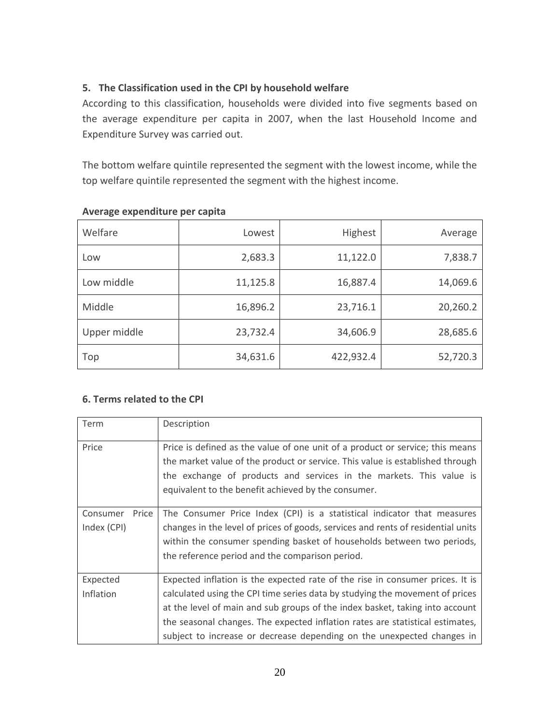# **5. The Classification used in the CPI by household welfare**

According to this classification, households were divided into five segments based on the average expenditure per capita in 2007, when the last Household Income and Expenditure Survey was carried out.

The bottom welfare quintile represented the segment with the lowest income, while the top welfare quintile represented the segment with the highest income.

| Welfare      | Lowest   | <b>Highest</b> | Average  |
|--------------|----------|----------------|----------|
| Low          | 2,683.3  | 11,122.0       | 7,838.7  |
| Low middle   | 11,125.8 | 16,887.4       | 14,069.6 |
| Middle       | 16,896.2 | 23,716.1       | 20,260.2 |
| Upper middle | 23,732.4 | 34,606.9       | 28,685.6 |
| Top          | 34,631.6 | 422,932.4      | 52,720.3 |

# **Average expenditure per capita**

# **6. Terms related to the CPI**

| Term                             | Description                                                                                                                                                                                                                                                                                                                                                                                              |
|----------------------------------|----------------------------------------------------------------------------------------------------------------------------------------------------------------------------------------------------------------------------------------------------------------------------------------------------------------------------------------------------------------------------------------------------------|
| Price                            | Price is defined as the value of one unit of a product or service; this means<br>the market value of the product or service. This value is established through<br>the exchange of products and services in the markets. This value is<br>equivalent to the benefit achieved by the consumer.                                                                                                             |
| Price<br>Consumer<br>Index (CPI) | The Consumer Price Index (CPI) is a statistical indicator that measures<br>changes in the level of prices of goods, services and rents of residential units<br>within the consumer spending basket of households between two periods,<br>the reference period and the comparison period.                                                                                                                 |
| Expected<br>Inflation            | Expected inflation is the expected rate of the rise in consumer prices. It is<br>calculated using the CPI time series data by studying the movement of prices<br>at the level of main and sub groups of the index basket, taking into account<br>the seasonal changes. The expected inflation rates are statistical estimates,<br>subject to increase or decrease depending on the unexpected changes in |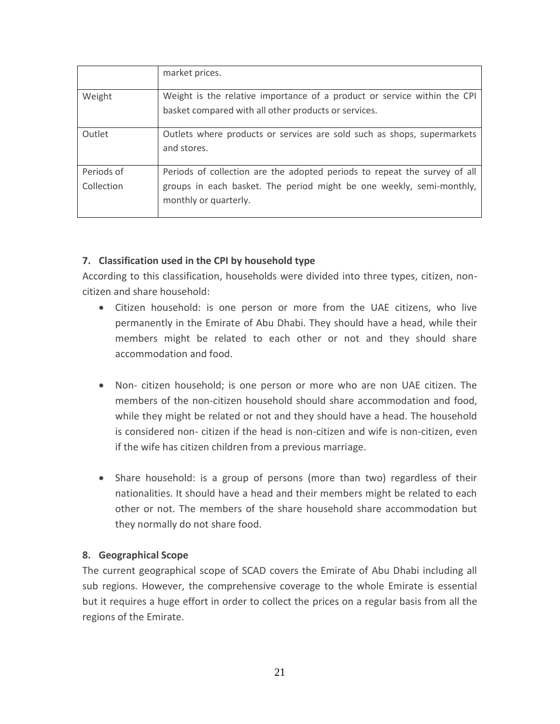|            | market prices.                                                                                                                   |
|------------|----------------------------------------------------------------------------------------------------------------------------------|
| Weight     | Weight is the relative importance of a product or service within the CPI<br>basket compared with all other products or services. |
|            |                                                                                                                                  |
| Outlet     | Outlets where products or services are sold such as shops, supermarkets                                                          |
|            | and stores.                                                                                                                      |
|            |                                                                                                                                  |
| Periods of | Periods of collection are the adopted periods to repeat the survey of all                                                        |
| Collection | groups in each basket. The period might be one weekly, semi-monthly,                                                             |
|            | monthly or quarterly.                                                                                                            |

# **7. Classification used in the CPI by household type**

According to this classification, households were divided into three types, citizen, noncitizen and share household:

- Citizen household: is one person or more from the UAE citizens, who live permanently in the Emirate of Abu Dhabi. They should have a head, while their members might be related to each other or not and they should share accommodation and food.
- Non- citizen household; is one person or more who are non UAE citizen. The members of the non-citizen household should share accommodation and food, while they might be related or not and they should have a head. The household is considered non- citizen if the head is non-citizen and wife is non-citizen, even if the wife has citizen children from a previous marriage.
- Share household: is a group of persons (more than two) regardless of their nationalities. It should have a head and their members might be related to each other or not. The members of the share household share accommodation but they normally do not share food.

# **8. Geographical Scope**

The current geographical scope of SCAD covers the Emirate of Abu Dhabi including all sub regions. However, the comprehensive coverage to the whole Emirate is essential but it requires a huge effort in order to collect the prices on a regular basis from all the regions of the Emirate.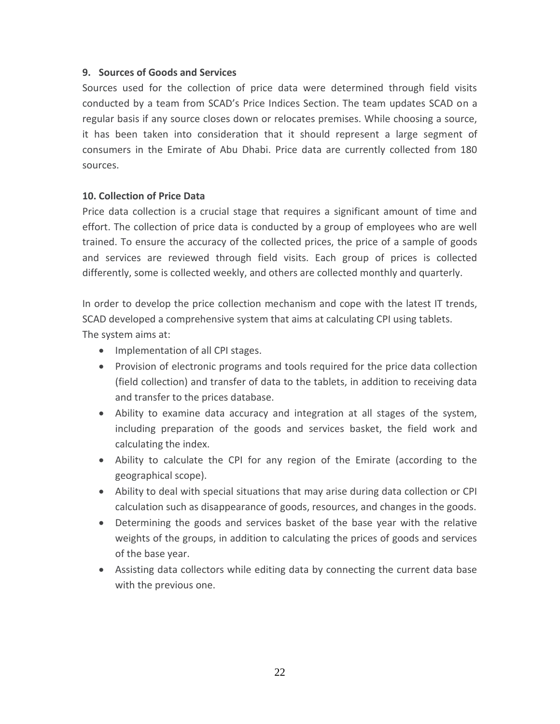## **9. Sources of Goods and Services**

Sources used for the collection of price data were determined through field visits conducted by a team from SCAD's Price Indices Section. The team updates SCAD on a regular basis if any source closes down or relocates premises. While choosing a source, it has been taken into consideration that it should represent a large segment of consumers in the Emirate of Abu Dhabi. Price data are currently collected from 180 sources.

# **10. Collection of Price Data**

Price data collection is a crucial stage that requires a significant amount of time and effort. The collection of price data is conducted by a group of employees who are well trained. To ensure the accuracy of the collected prices, the price of a sample of goods and services are reviewed through field visits. Each group of prices is collected differently, some is collected weekly, and others are collected monthly and quarterly.

In order to develop the price collection mechanism and cope with the latest IT trends, SCAD developed a comprehensive system that aims at calculating CPI using tablets. The system aims at:

- Implementation of all CPI stages.
- Provision of electronic programs and tools required for the price data collection (field collection) and transfer of data to the tablets, in addition to receiving data and transfer to the prices database.
- Ability to examine data accuracy and integration at all stages of the system, including preparation of the goods and services basket, the field work and calculating the index.
- Ability to calculate the CPI for any region of the Emirate (according to the geographical scope).
- Ability to deal with special situations that may arise during data collection or CPI calculation such as disappearance of goods, resources, and changes in the goods.
- Determining the goods and services basket of the base year with the relative weights of the groups, in addition to calculating the prices of goods and services of the base year.
- Assisting data collectors while editing data by connecting the current data base with the previous one.